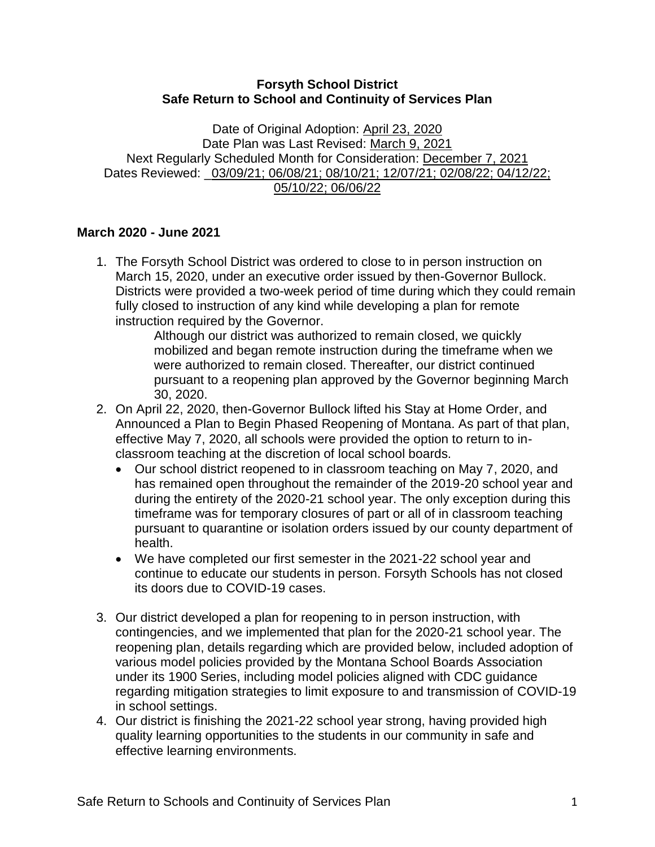## **Forsyth School District Safe Return to School and Continuity of Services Plan**

Date of Original Adoption: April 23, 2020 Date Plan was Last Revised: March 9, 2021 Next Regularly Scheduled Month for Consideration: December 7, 2021 Dates Reviewed: \_03/09/21; 06/08/21; 08/10/21; 12/07/21; 02/08/22; 04/12/22; 05/10/22; 06/06/22

# **March 2020 - June 2021**

1. The Forsyth School District was ordered to close to in person instruction on March 15, 2020, under an executive order issued by then-Governor Bullock. Districts were provided a two-week period of time during which they could remain fully closed to instruction of any kind while developing a plan for remote instruction required by the Governor.

Although our district was authorized to remain closed, we quickly mobilized and began remote instruction during the timeframe when we were authorized to remain closed. Thereafter, our district continued pursuant to a reopening plan approved by the Governor beginning March 30, 2020.

- 2. On April 22, 2020, then-Governor Bullock lifted his Stay at Home Order, and Announced a Plan to Begin Phased Reopening of Montana. As part of that plan, effective May 7, 2020, all schools were provided the option to return to inclassroom teaching at the discretion of local school boards.
	- Our school district reopened to in classroom teaching on May 7, 2020, and has remained open throughout the remainder of the 2019-20 school year and during the entirety of the 2020-21 school year. The only exception during this timeframe was for temporary closures of part or all of in classroom teaching pursuant to quarantine or isolation orders issued by our county department of health.
	- We have completed our first semester in the 2021-22 school year and continue to educate our students in person. Forsyth Schools has not closed its doors due to COVID-19 cases.
- 3. Our district developed a plan for reopening to in person instruction, with contingencies, and we implemented that plan for the 2020-21 school year. The reopening plan, details regarding which are provided below, included adoption of various model policies provided by the Montana School Boards Association under its 1900 Series, including model policies aligned with CDC guidance regarding mitigation strategies to limit exposure to and transmission of COVID-19 in school settings.
- 4. Our district is finishing the 2021-22 school year strong, having provided high quality learning opportunities to the students in our community in safe and effective learning environments.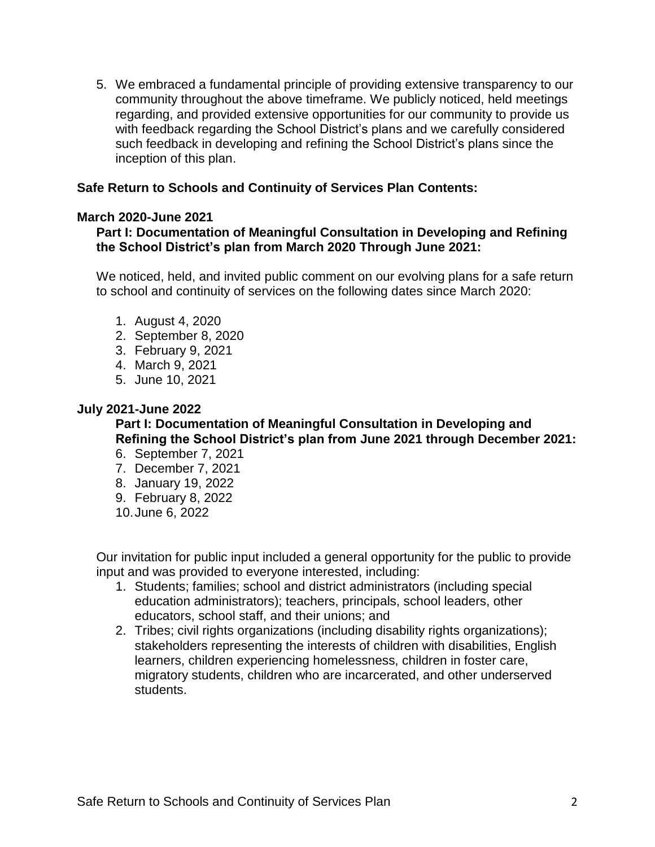5. We embraced a fundamental principle of providing extensive transparency to our community throughout the above timeframe. We publicly noticed, held meetings regarding, and provided extensive opportunities for our community to provide us with feedback regarding the School District's plans and we carefully considered such feedback in developing and refining the School District's plans since the inception of this plan.

## **Safe Return to Schools and Continuity of Services Plan Contents:**

## **March 2020-June 2021**

## **Part I: Documentation of Meaningful Consultation in Developing and Refining the School District's plan from March 2020 Through June 2021:**

We noticed, held, and invited public comment on our evolving plans for a safe return to school and continuity of services on the following dates since March 2020:

- 1. August 4, 2020
- 2. September 8, 2020
- 3. February 9, 2021
- 4. March 9, 2021
- 5. June 10, 2021

## **July 2021-June 2022**

# **Part I: Documentation of Meaningful Consultation in Developing and Refining the School District's plan from June 2021 through December 2021:**

- 6. September 7, 2021
- 7. December 7, 2021
- 8. January 19, 2022
- 9. February 8, 2022
- 10.June 6, 2022

Our invitation for public input included a general opportunity for the public to provide input and was provided to everyone interested, including:

- 1. Students; families; school and district administrators (including special education administrators); teachers, principals, school leaders, other educators, school staff, and their unions; and
- 2. Tribes; civil rights organizations (including disability rights organizations); stakeholders representing the interests of children with disabilities, English learners, children experiencing homelessness, children in foster care, migratory students, children who are incarcerated, and other underserved students.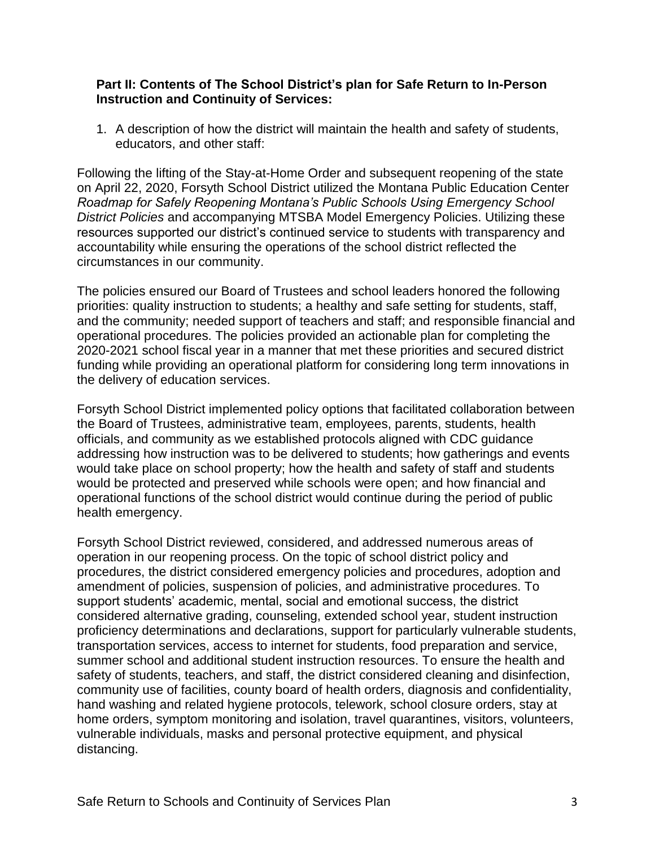### **Part II: Contents of The School District's plan for Safe Return to In-Person Instruction and Continuity of Services:**

1. A description of how the district will maintain the health and safety of students, educators, and other staff:

Following the lifting of the Stay-at-Home Order and subsequent reopening of the state on April 22, 2020, Forsyth School District utilized the Montana Public Education Center *Roadmap for Safely Reopening Montana's Public Schools Using Emergency School District Policies* and accompanying MTSBA Model Emergency Policies. Utilizing these resources supported our district's continued service to students with transparency and accountability while ensuring the operations of the school district reflected the circumstances in our community.

The policies ensured our Board of Trustees and school leaders honored the following priorities: quality instruction to students; a healthy and safe setting for students, staff, and the community; needed support of teachers and staff; and responsible financial and operational procedures. The policies provided an actionable plan for completing the 2020-2021 school fiscal year in a manner that met these priorities and secured district funding while providing an operational platform for considering long term innovations in the delivery of education services.

Forsyth School District implemented policy options that facilitated collaboration between the Board of Trustees, administrative team, employees, parents, students, health officials, and community as we established protocols aligned with CDC guidance addressing how instruction was to be delivered to students; how gatherings and events would take place on school property; how the health and safety of staff and students would be protected and preserved while schools were open; and how financial and operational functions of the school district would continue during the period of public health emergency.

Forsyth School District reviewed, considered, and addressed numerous areas of operation in our reopening process. On the topic of school district policy and procedures, the district considered emergency policies and procedures, adoption and amendment of policies, suspension of policies, and administrative procedures. To support students' academic, mental, social and emotional success, the district considered alternative grading, counseling, extended school year, student instruction proficiency determinations and declarations, support for particularly vulnerable students, transportation services, access to internet for students, food preparation and service, summer school and additional student instruction resources. To ensure the health and safety of students, teachers, and staff, the district considered cleaning and disinfection, community use of facilities, county board of health orders, diagnosis and confidentiality, hand washing and related hygiene protocols, telework, school closure orders, stay at home orders, symptom monitoring and isolation, travel quarantines, visitors, volunteers, vulnerable individuals, masks and personal protective equipment, and physical distancing.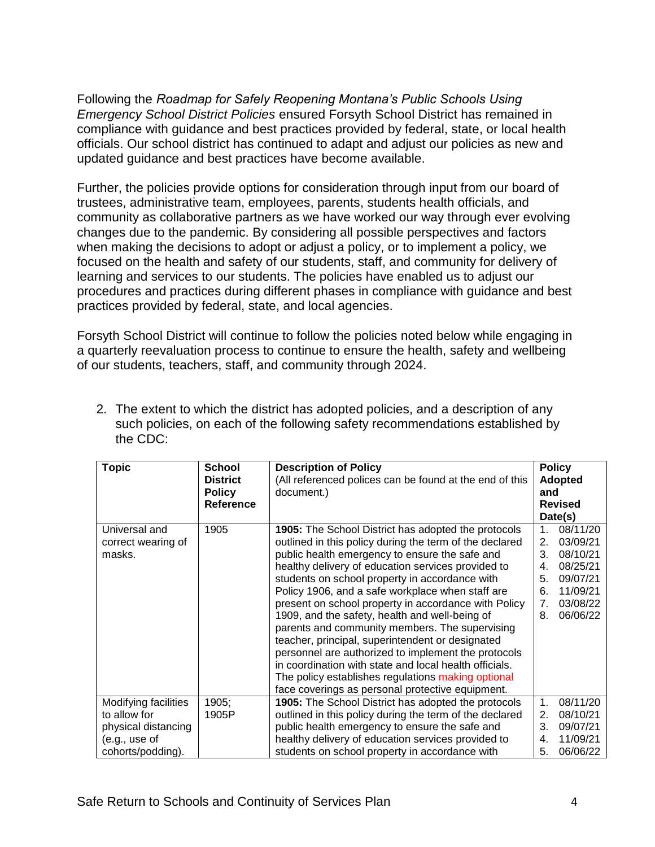Following the *Roadmap for Safely Reopening Montana's Public Schools Using Emergency School District Policies* ensured Forsyth School District has remained in compliance with guidance and best practices provided by federal, state, or local health officials. Our school district has continued to adapt and adjust our policies as new and updated guidance and best practices have become available.

Further, the policies provide options for consideration through input from our board of trustees, administrative team, employees, parents, students health officials, and community as collaborative partners as we have worked our way through ever evolving changes due to the pandemic. By considering all possible perspectives and factors when making the decisions to adopt or adjust a policy, or to implement a policy, we focused on the health and safety of our students, staff, and community for delivery of learning and services to our students. The policies have enabled us to adjust our procedures and practices during different phases in compliance with guidance and best practices provided by federal, state, and local agencies.

Forsyth School District will continue to follow the policies noted below while engaging in a quarterly reevaluation process to continue to ensure the health, safety and wellbeing of our students, teachers, staff, and community through 2024.

| <b>Topic</b>                                                                                      | <b>School</b><br><b>District</b><br><b>Policy</b><br><b>Reference</b> | <b>Description of Policy</b><br>(All referenced polices can be found at the end of this<br>document.)                                                                                                                                                                                                                                                                                                                                                                                                                                                                                                                                                                                                                                                                          | <b>Policy</b><br><b>Adopted</b><br>and<br><b>Revised</b><br>Date(s)                                                                               |
|---------------------------------------------------------------------------------------------------|-----------------------------------------------------------------------|--------------------------------------------------------------------------------------------------------------------------------------------------------------------------------------------------------------------------------------------------------------------------------------------------------------------------------------------------------------------------------------------------------------------------------------------------------------------------------------------------------------------------------------------------------------------------------------------------------------------------------------------------------------------------------------------------------------------------------------------------------------------------------|---------------------------------------------------------------------------------------------------------------------------------------------------|
| Universal and<br>correct wearing of<br>masks.                                                     | 1905                                                                  | <b>1905:</b> The School District has adopted the protocols<br>outlined in this policy during the term of the declared<br>public health emergency to ensure the safe and<br>healthy delivery of education services provided to<br>students on school property in accordance with<br>Policy 1906, and a safe workplace when staff are<br>present on school property in accordance with Policy<br>1909, and the safety, health and well-being of<br>parents and community members. The supervising<br>teacher, principal, superintendent or designated<br>personnel are authorized to implement the protocols<br>in coordination with state and local health officials.<br>The policy establishes regulations making optional<br>face coverings as personal protective equipment. | 08/11/20<br>$1_{-}$<br>03/09/21<br>2.<br>3.<br>08/10/21<br>08/25/21<br>4.<br>5.<br>09/07/21<br>11/09/21<br>6.<br>7.<br>03/08/22<br>06/06/22<br>8. |
| Modifying facilities<br>to allow for<br>physical distancing<br>(e.g., use of<br>cohorts/podding). | 1905;<br>1905P                                                        | 1905: The School District has adopted the protocols<br>outlined in this policy during the term of the declared<br>public health emergency to ensure the safe and<br>healthy delivery of education services provided to<br>students on school property in accordance with                                                                                                                                                                                                                                                                                                                                                                                                                                                                                                       | 08/11/20<br>$\mathbf 1$ .<br>08/10/21<br>2.<br>09/07/21<br>3.<br>11/09/21<br>4.<br>06/06/22<br>5.                                                 |

2. The extent to which the district has adopted policies, and a description of any such policies, on each of the following safety recommendations established by the CDC: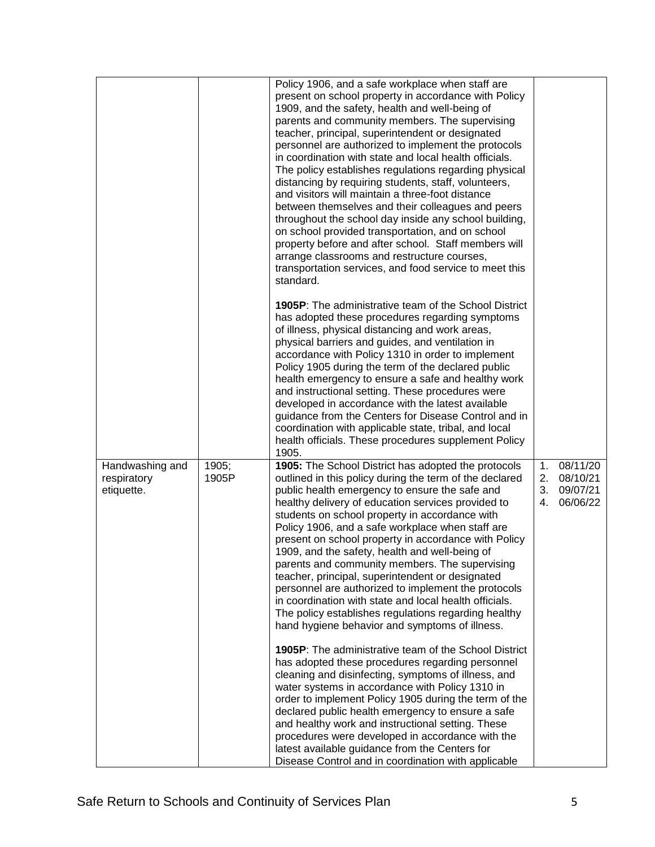|                                              |                | Policy 1906, and a safe workplace when staff are<br>present on school property in accordance with Policy<br>1909, and the safety, health and well-being of<br>parents and community members. The supervising<br>teacher, principal, superintendent or designated<br>personnel are authorized to implement the protocols<br>in coordination with state and local health officials.<br>The policy establishes regulations regarding physical<br>distancing by requiring students, staff, volunteers,<br>and visitors will maintain a three-foot distance<br>between themselves and their colleagues and peers<br>throughout the school day inside any school building,<br>on school provided transportation, and on school<br>property before and after school. Staff members will<br>arrange classrooms and restructure courses,<br>transportation services, and food service to meet this<br>standard. |                      |                                              |
|----------------------------------------------|----------------|--------------------------------------------------------------------------------------------------------------------------------------------------------------------------------------------------------------------------------------------------------------------------------------------------------------------------------------------------------------------------------------------------------------------------------------------------------------------------------------------------------------------------------------------------------------------------------------------------------------------------------------------------------------------------------------------------------------------------------------------------------------------------------------------------------------------------------------------------------------------------------------------------------|----------------------|----------------------------------------------|
|                                              |                | <b>1905P:</b> The administrative team of the School District<br>has adopted these procedures regarding symptoms<br>of illness, physical distancing and work areas,<br>physical barriers and guides, and ventilation in<br>accordance with Policy 1310 in order to implement<br>Policy 1905 during the term of the declared public<br>health emergency to ensure a safe and healthy work<br>and instructional setting. These procedures were<br>developed in accordance with the latest available<br>guidance from the Centers for Disease Control and in<br>coordination with applicable state, tribal, and local<br>health officials. These procedures supplement Policy<br>1905.                                                                                                                                                                                                                     |                      |                                              |
| Handwashing and<br>respiratory<br>etiquette. | 1905;<br>1905P | 1905: The School District has adopted the protocols<br>outlined in this policy during the term of the declared<br>public health emergency to ensure the safe and<br>healthy delivery of education services provided to<br>students on school property in accordance with<br>Policy 1906, and a safe workplace when staff are<br>present on school property in accordance with Policy<br>1909, and the safety, health and well-being of<br>parents and community members. The supervising<br>teacher, principal, superintendent or designated<br>personnel are authorized to implement the protocols<br>in coordination with state and local health officials.<br>The policy establishes regulations regarding healthy<br>hand hygiene behavior and symptoms of illness.                                                                                                                                | 1.<br>2.<br>3.<br>4. | 08/11/20<br>08/10/21<br>09/07/21<br>06/06/22 |
|                                              |                | 1905P: The administrative team of the School District<br>has adopted these procedures regarding personnel<br>cleaning and disinfecting, symptoms of illness, and<br>water systems in accordance with Policy 1310 in<br>order to implement Policy 1905 during the term of the<br>declared public health emergency to ensure a safe<br>and healthy work and instructional setting. These<br>procedures were developed in accordance with the<br>latest available guidance from the Centers for<br>Disease Control and in coordination with applicable                                                                                                                                                                                                                                                                                                                                                    |                      |                                              |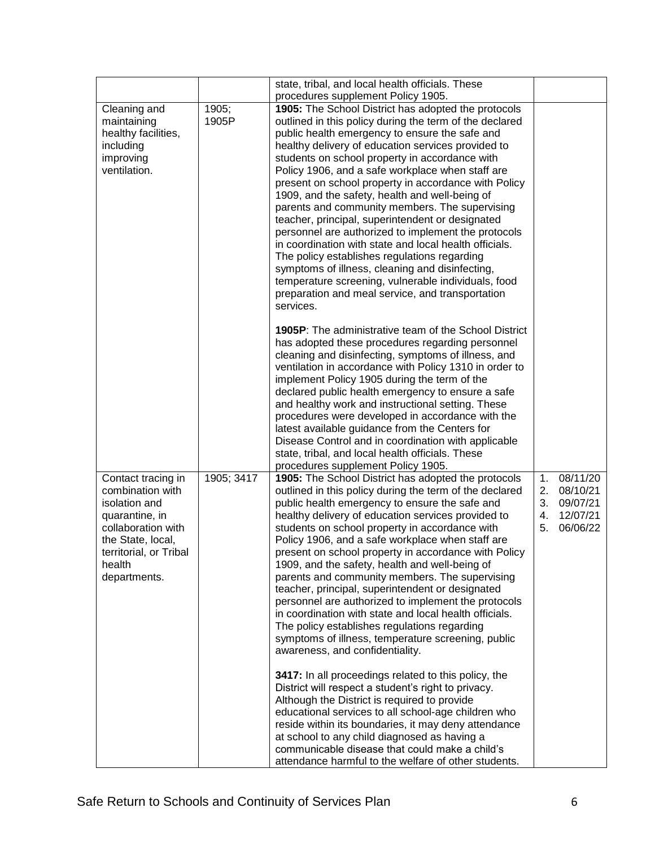|                                                                                                                                                                          |                | state, tribal, and local health officials. These<br>procedures supplement Policy 1905.                                                                                                                                                                                                                                                                                                                                                                                                                                                                                                                                                                                                                                                                                                                                                                                                                                                                                                                                                                                               |                            |                                                          |
|--------------------------------------------------------------------------------------------------------------------------------------------------------------------------|----------------|--------------------------------------------------------------------------------------------------------------------------------------------------------------------------------------------------------------------------------------------------------------------------------------------------------------------------------------------------------------------------------------------------------------------------------------------------------------------------------------------------------------------------------------------------------------------------------------------------------------------------------------------------------------------------------------------------------------------------------------------------------------------------------------------------------------------------------------------------------------------------------------------------------------------------------------------------------------------------------------------------------------------------------------------------------------------------------------|----------------------------|----------------------------------------------------------|
| Cleaning and<br>maintaining<br>healthy facilities,<br>including<br>improving<br>ventilation.                                                                             | 1905;<br>1905P | 1905: The School District has adopted the protocols<br>outlined in this policy during the term of the declared<br>public health emergency to ensure the safe and<br>healthy delivery of education services provided to<br>students on school property in accordance with<br>Policy 1906, and a safe workplace when staff are<br>present on school property in accordance with Policy<br>1909, and the safety, health and well-being of<br>parents and community members. The supervising<br>teacher, principal, superintendent or designated<br>personnel are authorized to implement the protocols<br>in coordination with state and local health officials.<br>The policy establishes regulations regarding<br>symptoms of illness, cleaning and disinfecting,<br>temperature screening, vulnerable individuals, food<br>preparation and meal service, and transportation<br>services.                                                                                                                                                                                             |                            |                                                          |
|                                                                                                                                                                          |                | <b>1905P:</b> The administrative team of the School District<br>has adopted these procedures regarding personnel<br>cleaning and disinfecting, symptoms of illness, and<br>ventilation in accordance with Policy 1310 in order to<br>implement Policy 1905 during the term of the<br>declared public health emergency to ensure a safe<br>and healthy work and instructional setting. These<br>procedures were developed in accordance with the<br>latest available guidance from the Centers for<br>Disease Control and in coordination with applicable<br>state, tribal, and local health officials. These<br>procedures supplement Policy 1905.                                                                                                                                                                                                                                                                                                                                                                                                                                   |                            |                                                          |
| Contact tracing in<br>combination with<br>isolation and<br>quarantine, in<br>collaboration with<br>the State, local,<br>territorial, or Tribal<br>health<br>departments. | 1905; 3417     | 1905: The School District has adopted the protocols<br>outlined in this policy during the term of the declared<br>public health emergency to ensure the safe and<br>healthy delivery of education services provided to<br>students on school property in accordance with<br>Policy 1906, and a safe workplace when staff are<br>present on school property in accordance with Policy<br>1909, and the safety, health and well-being of<br>parents and community members. The supervising<br>teacher, principal, superintendent or designated<br>personnel are authorized to implement the protocols<br>in coordination with state and local health officials.<br>The policy establishes regulations regarding<br>symptoms of illness, temperature screening, public<br>awareness, and confidentiality.<br>3417: In all proceedings related to this policy, the<br>District will respect a student's right to privacy.<br>Although the District is required to provide<br>educational services to all school-age children who<br>reside within its boundaries, it may deny attendance | 1.<br>2.<br>3.<br>4.<br>5. | 08/11/20<br>08/10/21<br>09/07/21<br>12/07/21<br>06/06/22 |
|                                                                                                                                                                          |                | at school to any child diagnosed as having a<br>communicable disease that could make a child's<br>attendance harmful to the welfare of other students.                                                                                                                                                                                                                                                                                                                                                                                                                                                                                                                                                                                                                                                                                                                                                                                                                                                                                                                               |                            |                                                          |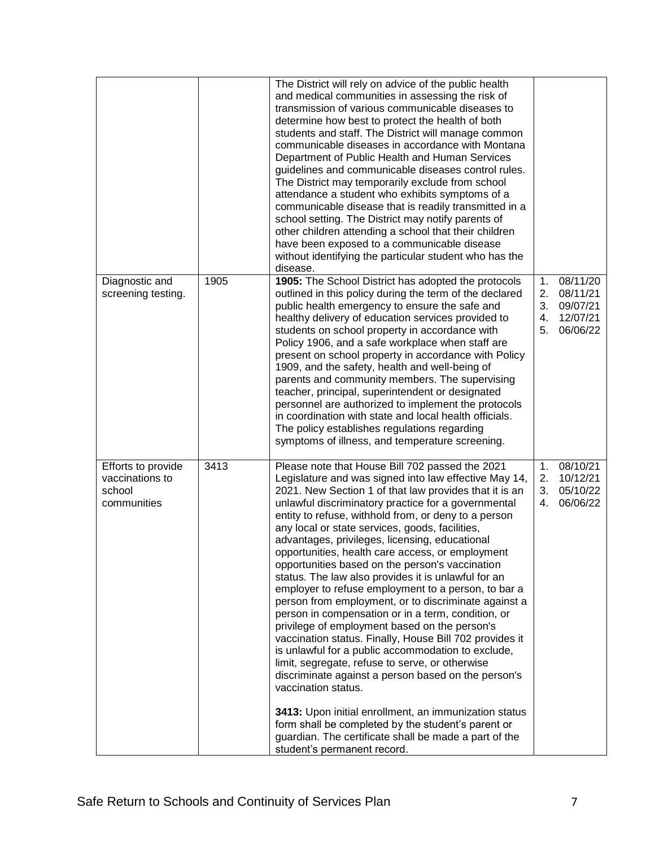|                                                                |      | The District will rely on advice of the public health<br>and medical communities in assessing the risk of<br>transmission of various communicable diseases to<br>determine how best to protect the health of both<br>students and staff. The District will manage common<br>communicable diseases in accordance with Montana<br>Department of Public Health and Human Services<br>guidelines and communicable diseases control rules.<br>The District may temporarily exclude from school<br>attendance a student who exhibits symptoms of a<br>communicable disease that is readily transmitted in a<br>school setting. The District may notify parents of<br>other children attending a school that their children<br>have been exposed to a communicable disease<br>without identifying the particular student who has the<br>disease.                                                                                                                                                                                                                                                                                                                                                                                           |                                  |                                                          |
|----------------------------------------------------------------|------|-------------------------------------------------------------------------------------------------------------------------------------------------------------------------------------------------------------------------------------------------------------------------------------------------------------------------------------------------------------------------------------------------------------------------------------------------------------------------------------------------------------------------------------------------------------------------------------------------------------------------------------------------------------------------------------------------------------------------------------------------------------------------------------------------------------------------------------------------------------------------------------------------------------------------------------------------------------------------------------------------------------------------------------------------------------------------------------------------------------------------------------------------------------------------------------------------------------------------------------|----------------------------------|----------------------------------------------------------|
| Diagnostic and<br>screening testing.                           | 1905 | 1905: The School District has adopted the protocols<br>outlined in this policy during the term of the declared<br>public health emergency to ensure the safe and<br>healthy delivery of education services provided to<br>students on school property in accordance with<br>Policy 1906, and a safe workplace when staff are<br>present on school property in accordance with Policy<br>1909, and the safety, health and well-being of<br>parents and community members. The supervising<br>teacher, principal, superintendent or designated<br>personnel are authorized to implement the protocols<br>in coordination with state and local health officials.<br>The policy establishes regulations regarding<br>symptoms of illness, and temperature screening.                                                                                                                                                                                                                                                                                                                                                                                                                                                                    | 1.<br>2.<br>3.<br>4.<br>5.       | 08/11/20<br>08/11/21<br>09/07/21<br>12/07/21<br>06/06/22 |
| Efforts to provide<br>vaccinations to<br>school<br>communities | 3413 | Please note that House Bill 702 passed the 2021<br>Legislature and was signed into law effective May 14,<br>2021. New Section 1 of that law provides that it is an<br>unlawful discriminatory practice for a governmental<br>entity to refuse, withhold from, or deny to a person<br>any local or state services, goods, facilities,<br>advantages, privileges, licensing, educational<br>opportunities, health care access, or employment<br>opportunities based on the person's vaccination<br>status. The law also provides it is unlawful for an<br>employer to refuse employment to a person, to bar a<br>person from employment, or to discriminate against a<br>person in compensation or in a term, condition, or<br>privilege of employment based on the person's<br>vaccination status. Finally, House Bill 702 provides it<br>is unlawful for a public accommodation to exclude,<br>limit, segregate, refuse to serve, or otherwise<br>discriminate against a person based on the person's<br>vaccination status.<br>3413: Upon initial enrollment, an immunization status<br>form shall be completed by the student's parent or<br>guardian. The certificate shall be made a part of the<br>student's permanent record. | 1 <sub>1</sub><br>2.<br>3.<br>4. | 08/10/21<br>10/12/21<br>05/10/22<br>06/06/22             |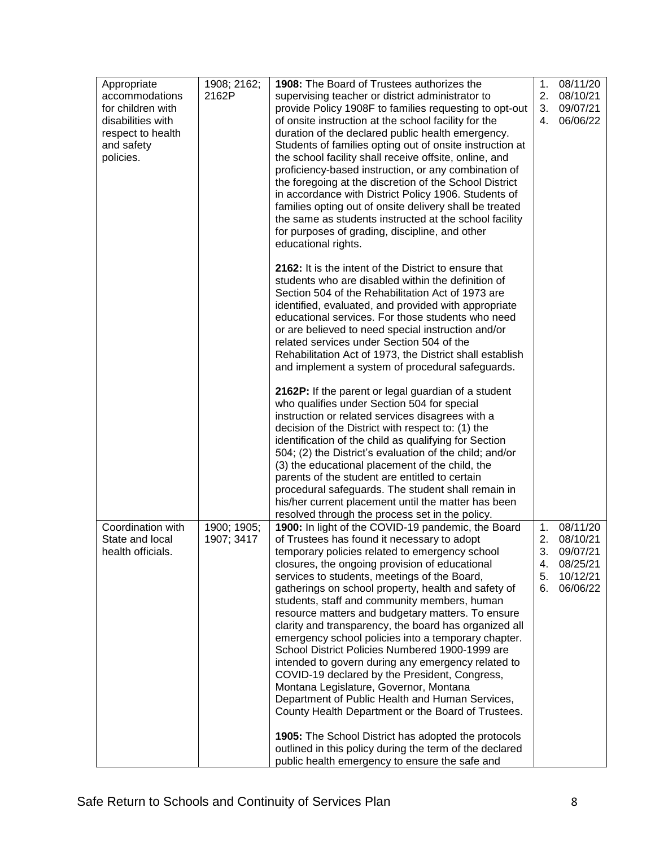| 2162P<br>2.<br>08/10/21<br>accommodations<br>supervising teacher or district administrator to<br>for children with<br>provide Policy 1908F to families requesting to opt-out<br>3.<br>09/07/21<br>06/06/22<br>disabilities with<br>of onsite instruction at the school facility for the<br>4.<br>respect to health<br>duration of the declared public health emergency.<br>Students of families opting out of onsite instruction at<br>and safety<br>the school facility shall receive offsite, online, and<br>policies.<br>proficiency-based instruction, or any combination of<br>the foregoing at the discretion of the School District<br>in accordance with District Policy 1906. Students of<br>families opting out of onsite delivery shall be treated<br>the same as students instructed at the school facility<br>for purposes of grading, discipline, and other<br>educational rights.<br>2162: It is the intent of the District to ensure that<br>students who are disabled within the definition of<br>Section 504 of the Rehabilitation Act of 1973 are<br>identified, evaluated, and provided with appropriate<br>educational services. For those students who need<br>or are believed to need special instruction and/or<br>related services under Section 504 of the<br>Rehabilitation Act of 1973, the District shall establish<br>and implement a system of procedural safeguards.<br>2162P: If the parent or legal guardian of a student<br>who qualifies under Section 504 for special<br>instruction or related services disagrees with a<br>decision of the District with respect to: (1) the<br>identification of the child as qualifying for Section<br>504; (2) the District's evaluation of the child; and/or<br>(3) the educational placement of the child, the<br>parents of the student are entitled to certain<br>procedural safeguards. The student shall remain in<br>his/her current placement until the matter has been<br>resolved through the process set in the policy.<br>Coordination with<br>1900: In light of the COVID-19 pandemic, the Board<br>08/11/20<br>1900; 1905;<br>1.<br>2.<br>State and local<br>1907; 3417<br>of Trustees has found it necessary to adopt<br>08/10/21<br>3.<br>temporary policies related to emergency school<br>09/07/21<br>health officials.<br>closures, the ongoing provision of educational<br>08/25/21<br>4.<br>10/12/21<br>services to students, meetings of the Board,<br>5.<br>gatherings on school property, health and safety of<br>06/06/22<br>6.<br>students, staff and community members, human<br>resource matters and budgetary matters. To ensure<br>clarity and transparency, the board has organized all<br>emergency school policies into a temporary chapter.<br>School District Policies Numbered 1900-1999 are<br>intended to govern during any emergency related to | Appropriate | 1908; 2162; | 1908: The Board of Trustees authorizes the    | 1. | 08/11/20 |
|------------------------------------------------------------------------------------------------------------------------------------------------------------------------------------------------------------------------------------------------------------------------------------------------------------------------------------------------------------------------------------------------------------------------------------------------------------------------------------------------------------------------------------------------------------------------------------------------------------------------------------------------------------------------------------------------------------------------------------------------------------------------------------------------------------------------------------------------------------------------------------------------------------------------------------------------------------------------------------------------------------------------------------------------------------------------------------------------------------------------------------------------------------------------------------------------------------------------------------------------------------------------------------------------------------------------------------------------------------------------------------------------------------------------------------------------------------------------------------------------------------------------------------------------------------------------------------------------------------------------------------------------------------------------------------------------------------------------------------------------------------------------------------------------------------------------------------------------------------------------------------------------------------------------------------------------------------------------------------------------------------------------------------------------------------------------------------------------------------------------------------------------------------------------------------------------------------------------------------------------------------------------------------------------------------------------------------------------------------------------------------------------------------------------------------------------------------------------------------------------------------------------------------------------------------------------------------------------------------------------------------------------------------------------------------------------------------------------------------------------------------------------------------------------------------------------------------------------------------------|-------------|-------------|-----------------------------------------------|----|----------|
|                                                                                                                                                                                                                                                                                                                                                                                                                                                                                                                                                                                                                                                                                                                                                                                                                                                                                                                                                                                                                                                                                                                                                                                                                                                                                                                                                                                                                                                                                                                                                                                                                                                                                                                                                                                                                                                                                                                                                                                                                                                                                                                                                                                                                                                                                                                                                                                                                                                                                                                                                                                                                                                                                                                                                                                                                                                                  |             |             |                                               |    |          |
|                                                                                                                                                                                                                                                                                                                                                                                                                                                                                                                                                                                                                                                                                                                                                                                                                                                                                                                                                                                                                                                                                                                                                                                                                                                                                                                                                                                                                                                                                                                                                                                                                                                                                                                                                                                                                                                                                                                                                                                                                                                                                                                                                                                                                                                                                                                                                                                                                                                                                                                                                                                                                                                                                                                                                                                                                                                                  |             |             |                                               |    |          |
|                                                                                                                                                                                                                                                                                                                                                                                                                                                                                                                                                                                                                                                                                                                                                                                                                                                                                                                                                                                                                                                                                                                                                                                                                                                                                                                                                                                                                                                                                                                                                                                                                                                                                                                                                                                                                                                                                                                                                                                                                                                                                                                                                                                                                                                                                                                                                                                                                                                                                                                                                                                                                                                                                                                                                                                                                                                                  |             |             |                                               |    |          |
|                                                                                                                                                                                                                                                                                                                                                                                                                                                                                                                                                                                                                                                                                                                                                                                                                                                                                                                                                                                                                                                                                                                                                                                                                                                                                                                                                                                                                                                                                                                                                                                                                                                                                                                                                                                                                                                                                                                                                                                                                                                                                                                                                                                                                                                                                                                                                                                                                                                                                                                                                                                                                                                                                                                                                                                                                                                                  |             |             |                                               |    |          |
|                                                                                                                                                                                                                                                                                                                                                                                                                                                                                                                                                                                                                                                                                                                                                                                                                                                                                                                                                                                                                                                                                                                                                                                                                                                                                                                                                                                                                                                                                                                                                                                                                                                                                                                                                                                                                                                                                                                                                                                                                                                                                                                                                                                                                                                                                                                                                                                                                                                                                                                                                                                                                                                                                                                                                                                                                                                                  |             |             |                                               |    |          |
|                                                                                                                                                                                                                                                                                                                                                                                                                                                                                                                                                                                                                                                                                                                                                                                                                                                                                                                                                                                                                                                                                                                                                                                                                                                                                                                                                                                                                                                                                                                                                                                                                                                                                                                                                                                                                                                                                                                                                                                                                                                                                                                                                                                                                                                                                                                                                                                                                                                                                                                                                                                                                                                                                                                                                                                                                                                                  |             |             |                                               |    |          |
|                                                                                                                                                                                                                                                                                                                                                                                                                                                                                                                                                                                                                                                                                                                                                                                                                                                                                                                                                                                                                                                                                                                                                                                                                                                                                                                                                                                                                                                                                                                                                                                                                                                                                                                                                                                                                                                                                                                                                                                                                                                                                                                                                                                                                                                                                                                                                                                                                                                                                                                                                                                                                                                                                                                                                                                                                                                                  |             |             |                                               |    |          |
|                                                                                                                                                                                                                                                                                                                                                                                                                                                                                                                                                                                                                                                                                                                                                                                                                                                                                                                                                                                                                                                                                                                                                                                                                                                                                                                                                                                                                                                                                                                                                                                                                                                                                                                                                                                                                                                                                                                                                                                                                                                                                                                                                                                                                                                                                                                                                                                                                                                                                                                                                                                                                                                                                                                                                                                                                                                                  |             |             |                                               |    |          |
|                                                                                                                                                                                                                                                                                                                                                                                                                                                                                                                                                                                                                                                                                                                                                                                                                                                                                                                                                                                                                                                                                                                                                                                                                                                                                                                                                                                                                                                                                                                                                                                                                                                                                                                                                                                                                                                                                                                                                                                                                                                                                                                                                                                                                                                                                                                                                                                                                                                                                                                                                                                                                                                                                                                                                                                                                                                                  |             |             |                                               |    |          |
|                                                                                                                                                                                                                                                                                                                                                                                                                                                                                                                                                                                                                                                                                                                                                                                                                                                                                                                                                                                                                                                                                                                                                                                                                                                                                                                                                                                                                                                                                                                                                                                                                                                                                                                                                                                                                                                                                                                                                                                                                                                                                                                                                                                                                                                                                                                                                                                                                                                                                                                                                                                                                                                                                                                                                                                                                                                                  |             |             |                                               |    |          |
|                                                                                                                                                                                                                                                                                                                                                                                                                                                                                                                                                                                                                                                                                                                                                                                                                                                                                                                                                                                                                                                                                                                                                                                                                                                                                                                                                                                                                                                                                                                                                                                                                                                                                                                                                                                                                                                                                                                                                                                                                                                                                                                                                                                                                                                                                                                                                                                                                                                                                                                                                                                                                                                                                                                                                                                                                                                                  |             |             |                                               |    |          |
|                                                                                                                                                                                                                                                                                                                                                                                                                                                                                                                                                                                                                                                                                                                                                                                                                                                                                                                                                                                                                                                                                                                                                                                                                                                                                                                                                                                                                                                                                                                                                                                                                                                                                                                                                                                                                                                                                                                                                                                                                                                                                                                                                                                                                                                                                                                                                                                                                                                                                                                                                                                                                                                                                                                                                                                                                                                                  |             |             |                                               |    |          |
|                                                                                                                                                                                                                                                                                                                                                                                                                                                                                                                                                                                                                                                                                                                                                                                                                                                                                                                                                                                                                                                                                                                                                                                                                                                                                                                                                                                                                                                                                                                                                                                                                                                                                                                                                                                                                                                                                                                                                                                                                                                                                                                                                                                                                                                                                                                                                                                                                                                                                                                                                                                                                                                                                                                                                                                                                                                                  |             |             |                                               |    |          |
|                                                                                                                                                                                                                                                                                                                                                                                                                                                                                                                                                                                                                                                                                                                                                                                                                                                                                                                                                                                                                                                                                                                                                                                                                                                                                                                                                                                                                                                                                                                                                                                                                                                                                                                                                                                                                                                                                                                                                                                                                                                                                                                                                                                                                                                                                                                                                                                                                                                                                                                                                                                                                                                                                                                                                                                                                                                                  |             |             |                                               |    |          |
|                                                                                                                                                                                                                                                                                                                                                                                                                                                                                                                                                                                                                                                                                                                                                                                                                                                                                                                                                                                                                                                                                                                                                                                                                                                                                                                                                                                                                                                                                                                                                                                                                                                                                                                                                                                                                                                                                                                                                                                                                                                                                                                                                                                                                                                                                                                                                                                                                                                                                                                                                                                                                                                                                                                                                                                                                                                                  |             |             |                                               |    |          |
|                                                                                                                                                                                                                                                                                                                                                                                                                                                                                                                                                                                                                                                                                                                                                                                                                                                                                                                                                                                                                                                                                                                                                                                                                                                                                                                                                                                                                                                                                                                                                                                                                                                                                                                                                                                                                                                                                                                                                                                                                                                                                                                                                                                                                                                                                                                                                                                                                                                                                                                                                                                                                                                                                                                                                                                                                                                                  |             |             |                                               |    |          |
|                                                                                                                                                                                                                                                                                                                                                                                                                                                                                                                                                                                                                                                                                                                                                                                                                                                                                                                                                                                                                                                                                                                                                                                                                                                                                                                                                                                                                                                                                                                                                                                                                                                                                                                                                                                                                                                                                                                                                                                                                                                                                                                                                                                                                                                                                                                                                                                                                                                                                                                                                                                                                                                                                                                                                                                                                                                                  |             |             |                                               |    |          |
|                                                                                                                                                                                                                                                                                                                                                                                                                                                                                                                                                                                                                                                                                                                                                                                                                                                                                                                                                                                                                                                                                                                                                                                                                                                                                                                                                                                                                                                                                                                                                                                                                                                                                                                                                                                                                                                                                                                                                                                                                                                                                                                                                                                                                                                                                                                                                                                                                                                                                                                                                                                                                                                                                                                                                                                                                                                                  |             |             |                                               |    |          |
|                                                                                                                                                                                                                                                                                                                                                                                                                                                                                                                                                                                                                                                                                                                                                                                                                                                                                                                                                                                                                                                                                                                                                                                                                                                                                                                                                                                                                                                                                                                                                                                                                                                                                                                                                                                                                                                                                                                                                                                                                                                                                                                                                                                                                                                                                                                                                                                                                                                                                                                                                                                                                                                                                                                                                                                                                                                                  |             |             |                                               |    |          |
|                                                                                                                                                                                                                                                                                                                                                                                                                                                                                                                                                                                                                                                                                                                                                                                                                                                                                                                                                                                                                                                                                                                                                                                                                                                                                                                                                                                                                                                                                                                                                                                                                                                                                                                                                                                                                                                                                                                                                                                                                                                                                                                                                                                                                                                                                                                                                                                                                                                                                                                                                                                                                                                                                                                                                                                                                                                                  |             |             |                                               |    |          |
|                                                                                                                                                                                                                                                                                                                                                                                                                                                                                                                                                                                                                                                                                                                                                                                                                                                                                                                                                                                                                                                                                                                                                                                                                                                                                                                                                                                                                                                                                                                                                                                                                                                                                                                                                                                                                                                                                                                                                                                                                                                                                                                                                                                                                                                                                                                                                                                                                                                                                                                                                                                                                                                                                                                                                                                                                                                                  |             |             |                                               |    |          |
|                                                                                                                                                                                                                                                                                                                                                                                                                                                                                                                                                                                                                                                                                                                                                                                                                                                                                                                                                                                                                                                                                                                                                                                                                                                                                                                                                                                                                                                                                                                                                                                                                                                                                                                                                                                                                                                                                                                                                                                                                                                                                                                                                                                                                                                                                                                                                                                                                                                                                                                                                                                                                                                                                                                                                                                                                                                                  |             |             |                                               |    |          |
|                                                                                                                                                                                                                                                                                                                                                                                                                                                                                                                                                                                                                                                                                                                                                                                                                                                                                                                                                                                                                                                                                                                                                                                                                                                                                                                                                                                                                                                                                                                                                                                                                                                                                                                                                                                                                                                                                                                                                                                                                                                                                                                                                                                                                                                                                                                                                                                                                                                                                                                                                                                                                                                                                                                                                                                                                                                                  |             |             |                                               |    |          |
|                                                                                                                                                                                                                                                                                                                                                                                                                                                                                                                                                                                                                                                                                                                                                                                                                                                                                                                                                                                                                                                                                                                                                                                                                                                                                                                                                                                                                                                                                                                                                                                                                                                                                                                                                                                                                                                                                                                                                                                                                                                                                                                                                                                                                                                                                                                                                                                                                                                                                                                                                                                                                                                                                                                                                                                                                                                                  |             |             |                                               |    |          |
|                                                                                                                                                                                                                                                                                                                                                                                                                                                                                                                                                                                                                                                                                                                                                                                                                                                                                                                                                                                                                                                                                                                                                                                                                                                                                                                                                                                                                                                                                                                                                                                                                                                                                                                                                                                                                                                                                                                                                                                                                                                                                                                                                                                                                                                                                                                                                                                                                                                                                                                                                                                                                                                                                                                                                                                                                                                                  |             |             |                                               |    |          |
|                                                                                                                                                                                                                                                                                                                                                                                                                                                                                                                                                                                                                                                                                                                                                                                                                                                                                                                                                                                                                                                                                                                                                                                                                                                                                                                                                                                                                                                                                                                                                                                                                                                                                                                                                                                                                                                                                                                                                                                                                                                                                                                                                                                                                                                                                                                                                                                                                                                                                                                                                                                                                                                                                                                                                                                                                                                                  |             |             |                                               |    |          |
|                                                                                                                                                                                                                                                                                                                                                                                                                                                                                                                                                                                                                                                                                                                                                                                                                                                                                                                                                                                                                                                                                                                                                                                                                                                                                                                                                                                                                                                                                                                                                                                                                                                                                                                                                                                                                                                                                                                                                                                                                                                                                                                                                                                                                                                                                                                                                                                                                                                                                                                                                                                                                                                                                                                                                                                                                                                                  |             |             |                                               |    |          |
|                                                                                                                                                                                                                                                                                                                                                                                                                                                                                                                                                                                                                                                                                                                                                                                                                                                                                                                                                                                                                                                                                                                                                                                                                                                                                                                                                                                                                                                                                                                                                                                                                                                                                                                                                                                                                                                                                                                                                                                                                                                                                                                                                                                                                                                                                                                                                                                                                                                                                                                                                                                                                                                                                                                                                                                                                                                                  |             |             |                                               |    |          |
|                                                                                                                                                                                                                                                                                                                                                                                                                                                                                                                                                                                                                                                                                                                                                                                                                                                                                                                                                                                                                                                                                                                                                                                                                                                                                                                                                                                                                                                                                                                                                                                                                                                                                                                                                                                                                                                                                                                                                                                                                                                                                                                                                                                                                                                                                                                                                                                                                                                                                                                                                                                                                                                                                                                                                                                                                                                                  |             |             |                                               |    |          |
|                                                                                                                                                                                                                                                                                                                                                                                                                                                                                                                                                                                                                                                                                                                                                                                                                                                                                                                                                                                                                                                                                                                                                                                                                                                                                                                                                                                                                                                                                                                                                                                                                                                                                                                                                                                                                                                                                                                                                                                                                                                                                                                                                                                                                                                                                                                                                                                                                                                                                                                                                                                                                                                                                                                                                                                                                                                                  |             |             |                                               |    |          |
|                                                                                                                                                                                                                                                                                                                                                                                                                                                                                                                                                                                                                                                                                                                                                                                                                                                                                                                                                                                                                                                                                                                                                                                                                                                                                                                                                                                                                                                                                                                                                                                                                                                                                                                                                                                                                                                                                                                                                                                                                                                                                                                                                                                                                                                                                                                                                                                                                                                                                                                                                                                                                                                                                                                                                                                                                                                                  |             |             |                                               |    |          |
|                                                                                                                                                                                                                                                                                                                                                                                                                                                                                                                                                                                                                                                                                                                                                                                                                                                                                                                                                                                                                                                                                                                                                                                                                                                                                                                                                                                                                                                                                                                                                                                                                                                                                                                                                                                                                                                                                                                                                                                                                                                                                                                                                                                                                                                                                                                                                                                                                                                                                                                                                                                                                                                                                                                                                                                                                                                                  |             |             |                                               |    |          |
|                                                                                                                                                                                                                                                                                                                                                                                                                                                                                                                                                                                                                                                                                                                                                                                                                                                                                                                                                                                                                                                                                                                                                                                                                                                                                                                                                                                                                                                                                                                                                                                                                                                                                                                                                                                                                                                                                                                                                                                                                                                                                                                                                                                                                                                                                                                                                                                                                                                                                                                                                                                                                                                                                                                                                                                                                                                                  |             |             |                                               |    |          |
|                                                                                                                                                                                                                                                                                                                                                                                                                                                                                                                                                                                                                                                                                                                                                                                                                                                                                                                                                                                                                                                                                                                                                                                                                                                                                                                                                                                                                                                                                                                                                                                                                                                                                                                                                                                                                                                                                                                                                                                                                                                                                                                                                                                                                                                                                                                                                                                                                                                                                                                                                                                                                                                                                                                                                                                                                                                                  |             |             |                                               |    |          |
|                                                                                                                                                                                                                                                                                                                                                                                                                                                                                                                                                                                                                                                                                                                                                                                                                                                                                                                                                                                                                                                                                                                                                                                                                                                                                                                                                                                                                                                                                                                                                                                                                                                                                                                                                                                                                                                                                                                                                                                                                                                                                                                                                                                                                                                                                                                                                                                                                                                                                                                                                                                                                                                                                                                                                                                                                                                                  |             |             |                                               |    |          |
|                                                                                                                                                                                                                                                                                                                                                                                                                                                                                                                                                                                                                                                                                                                                                                                                                                                                                                                                                                                                                                                                                                                                                                                                                                                                                                                                                                                                                                                                                                                                                                                                                                                                                                                                                                                                                                                                                                                                                                                                                                                                                                                                                                                                                                                                                                                                                                                                                                                                                                                                                                                                                                                                                                                                                                                                                                                                  |             |             |                                               |    |          |
|                                                                                                                                                                                                                                                                                                                                                                                                                                                                                                                                                                                                                                                                                                                                                                                                                                                                                                                                                                                                                                                                                                                                                                                                                                                                                                                                                                                                                                                                                                                                                                                                                                                                                                                                                                                                                                                                                                                                                                                                                                                                                                                                                                                                                                                                                                                                                                                                                                                                                                                                                                                                                                                                                                                                                                                                                                                                  |             |             |                                               |    |          |
|                                                                                                                                                                                                                                                                                                                                                                                                                                                                                                                                                                                                                                                                                                                                                                                                                                                                                                                                                                                                                                                                                                                                                                                                                                                                                                                                                                                                                                                                                                                                                                                                                                                                                                                                                                                                                                                                                                                                                                                                                                                                                                                                                                                                                                                                                                                                                                                                                                                                                                                                                                                                                                                                                                                                                                                                                                                                  |             |             |                                               |    |          |
|                                                                                                                                                                                                                                                                                                                                                                                                                                                                                                                                                                                                                                                                                                                                                                                                                                                                                                                                                                                                                                                                                                                                                                                                                                                                                                                                                                                                                                                                                                                                                                                                                                                                                                                                                                                                                                                                                                                                                                                                                                                                                                                                                                                                                                                                                                                                                                                                                                                                                                                                                                                                                                                                                                                                                                                                                                                                  |             |             |                                               |    |          |
|                                                                                                                                                                                                                                                                                                                                                                                                                                                                                                                                                                                                                                                                                                                                                                                                                                                                                                                                                                                                                                                                                                                                                                                                                                                                                                                                                                                                                                                                                                                                                                                                                                                                                                                                                                                                                                                                                                                                                                                                                                                                                                                                                                                                                                                                                                                                                                                                                                                                                                                                                                                                                                                                                                                                                                                                                                                                  |             |             |                                               |    |          |
|                                                                                                                                                                                                                                                                                                                                                                                                                                                                                                                                                                                                                                                                                                                                                                                                                                                                                                                                                                                                                                                                                                                                                                                                                                                                                                                                                                                                                                                                                                                                                                                                                                                                                                                                                                                                                                                                                                                                                                                                                                                                                                                                                                                                                                                                                                                                                                                                                                                                                                                                                                                                                                                                                                                                                                                                                                                                  |             |             |                                               |    |          |
|                                                                                                                                                                                                                                                                                                                                                                                                                                                                                                                                                                                                                                                                                                                                                                                                                                                                                                                                                                                                                                                                                                                                                                                                                                                                                                                                                                                                                                                                                                                                                                                                                                                                                                                                                                                                                                                                                                                                                                                                                                                                                                                                                                                                                                                                                                                                                                                                                                                                                                                                                                                                                                                                                                                                                                                                                                                                  |             |             |                                               |    |          |
|                                                                                                                                                                                                                                                                                                                                                                                                                                                                                                                                                                                                                                                                                                                                                                                                                                                                                                                                                                                                                                                                                                                                                                                                                                                                                                                                                                                                                                                                                                                                                                                                                                                                                                                                                                                                                                                                                                                                                                                                                                                                                                                                                                                                                                                                                                                                                                                                                                                                                                                                                                                                                                                                                                                                                                                                                                                                  |             |             |                                               |    |          |
|                                                                                                                                                                                                                                                                                                                                                                                                                                                                                                                                                                                                                                                                                                                                                                                                                                                                                                                                                                                                                                                                                                                                                                                                                                                                                                                                                                                                                                                                                                                                                                                                                                                                                                                                                                                                                                                                                                                                                                                                                                                                                                                                                                                                                                                                                                                                                                                                                                                                                                                                                                                                                                                                                                                                                                                                                                                                  |             |             |                                               |    |          |
|                                                                                                                                                                                                                                                                                                                                                                                                                                                                                                                                                                                                                                                                                                                                                                                                                                                                                                                                                                                                                                                                                                                                                                                                                                                                                                                                                                                                                                                                                                                                                                                                                                                                                                                                                                                                                                                                                                                                                                                                                                                                                                                                                                                                                                                                                                                                                                                                                                                                                                                                                                                                                                                                                                                                                                                                                                                                  |             |             |                                               |    |          |
|                                                                                                                                                                                                                                                                                                                                                                                                                                                                                                                                                                                                                                                                                                                                                                                                                                                                                                                                                                                                                                                                                                                                                                                                                                                                                                                                                                                                                                                                                                                                                                                                                                                                                                                                                                                                                                                                                                                                                                                                                                                                                                                                                                                                                                                                                                                                                                                                                                                                                                                                                                                                                                                                                                                                                                                                                                                                  |             |             | COVID-19 declared by the President, Congress, |    |          |
| Montana Legislature, Governor, Montana                                                                                                                                                                                                                                                                                                                                                                                                                                                                                                                                                                                                                                                                                                                                                                                                                                                                                                                                                                                                                                                                                                                                                                                                                                                                                                                                                                                                                                                                                                                                                                                                                                                                                                                                                                                                                                                                                                                                                                                                                                                                                                                                                                                                                                                                                                                                                                                                                                                                                                                                                                                                                                                                                                                                                                                                                           |             |             |                                               |    |          |
| Department of Public Health and Human Services,                                                                                                                                                                                                                                                                                                                                                                                                                                                                                                                                                                                                                                                                                                                                                                                                                                                                                                                                                                                                                                                                                                                                                                                                                                                                                                                                                                                                                                                                                                                                                                                                                                                                                                                                                                                                                                                                                                                                                                                                                                                                                                                                                                                                                                                                                                                                                                                                                                                                                                                                                                                                                                                                                                                                                                                                                  |             |             |                                               |    |          |
| County Health Department or the Board of Trustees.                                                                                                                                                                                                                                                                                                                                                                                                                                                                                                                                                                                                                                                                                                                                                                                                                                                                                                                                                                                                                                                                                                                                                                                                                                                                                                                                                                                                                                                                                                                                                                                                                                                                                                                                                                                                                                                                                                                                                                                                                                                                                                                                                                                                                                                                                                                                                                                                                                                                                                                                                                                                                                                                                                                                                                                                               |             |             |                                               |    |          |
| 1905: The School District has adopted the protocols                                                                                                                                                                                                                                                                                                                                                                                                                                                                                                                                                                                                                                                                                                                                                                                                                                                                                                                                                                                                                                                                                                                                                                                                                                                                                                                                                                                                                                                                                                                                                                                                                                                                                                                                                                                                                                                                                                                                                                                                                                                                                                                                                                                                                                                                                                                                                                                                                                                                                                                                                                                                                                                                                                                                                                                                              |             |             |                                               |    |          |
| outlined in this policy during the term of the declared                                                                                                                                                                                                                                                                                                                                                                                                                                                                                                                                                                                                                                                                                                                                                                                                                                                                                                                                                                                                                                                                                                                                                                                                                                                                                                                                                                                                                                                                                                                                                                                                                                                                                                                                                                                                                                                                                                                                                                                                                                                                                                                                                                                                                                                                                                                                                                                                                                                                                                                                                                                                                                                                                                                                                                                                          |             |             |                                               |    |          |
| public health emergency to ensure the safe and                                                                                                                                                                                                                                                                                                                                                                                                                                                                                                                                                                                                                                                                                                                                                                                                                                                                                                                                                                                                                                                                                                                                                                                                                                                                                                                                                                                                                                                                                                                                                                                                                                                                                                                                                                                                                                                                                                                                                                                                                                                                                                                                                                                                                                                                                                                                                                                                                                                                                                                                                                                                                                                                                                                                                                                                                   |             |             |                                               |    |          |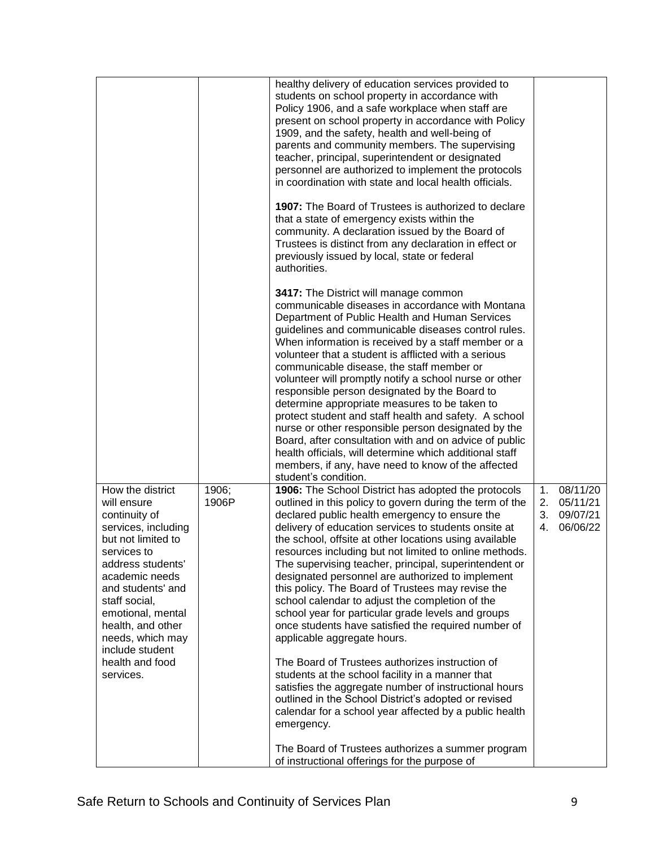|                                                                                                                                                                                                                                                                                                            |                | healthy delivery of education services provided to<br>students on school property in accordance with<br>Policy 1906, and a safe workplace when staff are<br>present on school property in accordance with Policy<br>1909, and the safety, health and well-being of<br>parents and community members. The supervising<br>teacher, principal, superintendent or designated<br>personnel are authorized to implement the protocols<br>in coordination with state and local health officials.<br>1907: The Board of Trustees is authorized to declare<br>that a state of emergency exists within the<br>community. A declaration issued by the Board of<br>Trustees is distinct from any declaration in effect or<br>previously issued by local, state or federal<br>authorities.<br>3417: The District will manage common<br>communicable diseases in accordance with Montana<br>Department of Public Health and Human Services<br>guidelines and communicable diseases control rules.<br>When information is received by a staff member or a<br>volunteer that a student is afflicted with a serious<br>communicable disease, the staff member or<br>volunteer will promptly notify a school nurse or other<br>responsible person designated by the Board to<br>determine appropriate measures to be taken to<br>protect student and staff health and safety. A school<br>nurse or other responsible person designated by the<br>Board, after consultation with and on advice of public<br>health officials, will determine which additional staff<br>members, if any, have need to know of the affected<br>student's condition. |                      |                                              |
|------------------------------------------------------------------------------------------------------------------------------------------------------------------------------------------------------------------------------------------------------------------------------------------------------------|----------------|--------------------------------------------------------------------------------------------------------------------------------------------------------------------------------------------------------------------------------------------------------------------------------------------------------------------------------------------------------------------------------------------------------------------------------------------------------------------------------------------------------------------------------------------------------------------------------------------------------------------------------------------------------------------------------------------------------------------------------------------------------------------------------------------------------------------------------------------------------------------------------------------------------------------------------------------------------------------------------------------------------------------------------------------------------------------------------------------------------------------------------------------------------------------------------------------------------------------------------------------------------------------------------------------------------------------------------------------------------------------------------------------------------------------------------------------------------------------------------------------------------------------------------------------------------------------------------------------------------------------------------|----------------------|----------------------------------------------|
| How the district<br>will ensure<br>continuity of<br>services, including<br>but not limited to<br>services to<br>address students'<br>academic needs<br>and students' and<br>staff social,<br>emotional, mental<br>health, and other<br>needs, which may<br>include student<br>health and food<br>services. | 1906;<br>1906P | 1906: The School District has adopted the protocols<br>outlined in this policy to govern during the term of the<br>declared public health emergency to ensure the<br>delivery of education services to students onsite at<br>the school, offsite at other locations using available<br>resources including but not limited to online methods.<br>The supervising teacher, principal, superintendent or<br>designated personnel are authorized to implement<br>this policy. The Board of Trustees may revise the<br>school calendar to adjust the completion of the<br>school year for particular grade levels and groups<br>once students have satisfied the required number of<br>applicable aggregate hours.<br>The Board of Trustees authorizes instruction of<br>students at the school facility in a manner that<br>satisfies the aggregate number of instructional hours<br>outlined in the School District's adopted or revised<br>calendar for a school year affected by a public health<br>emergency.<br>The Board of Trustees authorizes a summer program<br>of instructional offerings for the purpose of                                                                                                                                                                                                                                                                                                                                                                                                                                                                                                           | 1.<br>2.<br>3.<br>4. | 08/11/20<br>05/11/21<br>09/07/21<br>06/06/22 |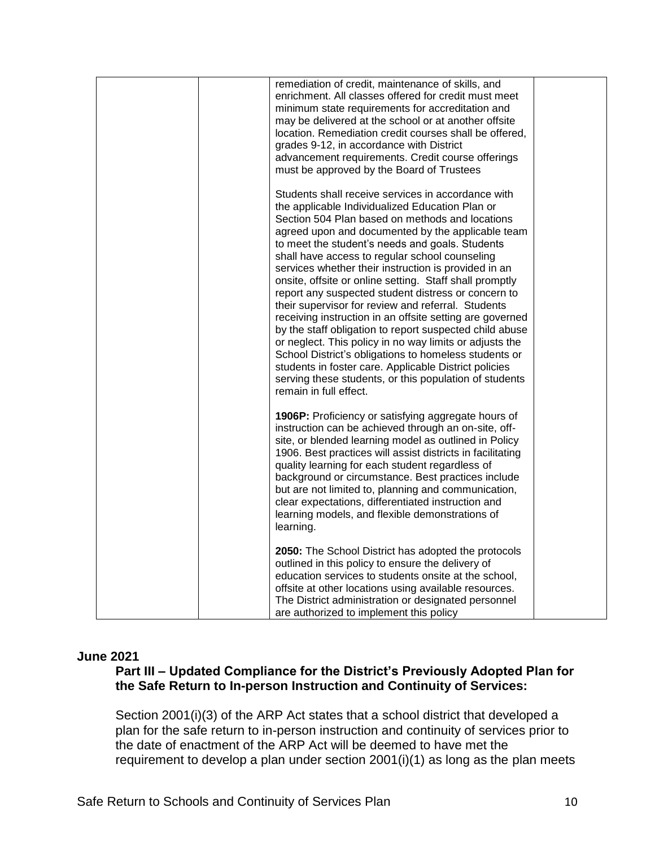| remediation of credit, maintenance of skills, and<br>enrichment. All classes offered for credit must meet<br>minimum state requirements for accreditation and<br>may be delivered at the school or at another offsite<br>location. Remediation credit courses shall be offered,<br>grades 9-12, in accordance with District<br>advancement requirements. Credit course offerings<br>must be approved by the Board of Trustees                                                                                                                                                                                                                                                                                                                                                                                                                                                                                                              |  |
|--------------------------------------------------------------------------------------------------------------------------------------------------------------------------------------------------------------------------------------------------------------------------------------------------------------------------------------------------------------------------------------------------------------------------------------------------------------------------------------------------------------------------------------------------------------------------------------------------------------------------------------------------------------------------------------------------------------------------------------------------------------------------------------------------------------------------------------------------------------------------------------------------------------------------------------------|--|
| Students shall receive services in accordance with<br>the applicable Individualized Education Plan or<br>Section 504 Plan based on methods and locations<br>agreed upon and documented by the applicable team<br>to meet the student's needs and goals. Students<br>shall have access to regular school counseling<br>services whether their instruction is provided in an<br>onsite, offsite or online setting. Staff shall promptly<br>report any suspected student distress or concern to<br>their supervisor for review and referral. Students<br>receiving instruction in an offsite setting are governed<br>by the staff obligation to report suspected child abuse<br>or neglect. This policy in no way limits or adjusts the<br>School District's obligations to homeless students or<br>students in foster care. Applicable District policies<br>serving these students, or this population of students<br>remain in full effect. |  |
| 1906P: Proficiency or satisfying aggregate hours of<br>instruction can be achieved through an on-site, off-<br>site, or blended learning model as outlined in Policy<br>1906. Best practices will assist districts in facilitating<br>quality learning for each student regardless of<br>background or circumstance. Best practices include<br>but are not limited to, planning and communication,<br>clear expectations, differentiated instruction and<br>learning models, and flexible demonstrations of<br>learning.                                                                                                                                                                                                                                                                                                                                                                                                                   |  |
| 2050: The School District has adopted the protocols<br>outlined in this policy to ensure the delivery of<br>education services to students onsite at the school,<br>offsite at other locations using available resources.<br>The District administration or designated personnel<br>are authorized to implement this policy                                                                                                                                                                                                                                                                                                                                                                                                                                                                                                                                                                                                                |  |

#### **June 2021**

# **Part III – Updated Compliance for the District's Previously Adopted Plan for the Safe Return to In-person Instruction and Continuity of Services:**

Section 2001(i)(3) of the ARP Act states that a school district that developed a plan for the safe return to in-person instruction and continuity of services prior to the date of enactment of the ARP Act will be deemed to have met the requirement to develop a plan under section 2001(i)(1) as long as the plan meets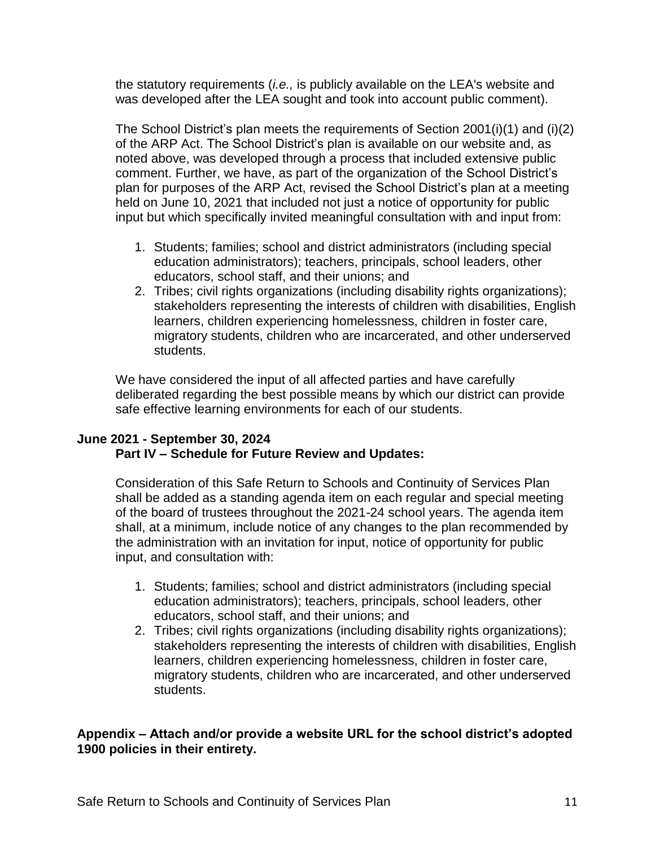the statutory requirements (*i.e.,* is publicly available on the LEA's website and was developed after the LEA sought and took into account public comment).

The School District's plan meets the requirements of Section 2001(i)(1) and (i)(2) of the ARP Act. The School District's plan is available on our website and, as noted above, was developed through a process that included extensive public comment. Further, we have, as part of the organization of the School District's plan for purposes of the ARP Act, revised the School District's plan at a meeting held on June 10, 2021 that included not just a notice of opportunity for public input but which specifically invited meaningful consultation with and input from:

- 1. Students; families; school and district administrators (including special education administrators); teachers, principals, school leaders, other educators, school staff, and their unions; and
- 2. Tribes; civil rights organizations (including disability rights organizations); stakeholders representing the interests of children with disabilities, English learners, children experiencing homelessness, children in foster care, migratory students, children who are incarcerated, and other underserved students.

We have considered the input of all affected parties and have carefully deliberated regarding the best possible means by which our district can provide safe effective learning environments for each of our students.

## **June 2021 - September 30, 2024 Part IV – Schedule for Future Review and Updates:**

Consideration of this Safe Return to Schools and Continuity of Services Plan shall be added as a standing agenda item on each regular and special meeting of the board of trustees throughout the 2021-24 school years. The agenda item shall, at a minimum, include notice of any changes to the plan recommended by the administration with an invitation for input, notice of opportunity for public input, and consultation with:

- 1. Students; families; school and district administrators (including special education administrators); teachers, principals, school leaders, other educators, school staff, and their unions; and
- 2. Tribes; civil rights organizations (including disability rights organizations); stakeholders representing the interests of children with disabilities, English learners, children experiencing homelessness, children in foster care, migratory students, children who are incarcerated, and other underserved students.

# **Appendix – Attach and/or provide a website URL for the school district's adopted 1900 policies in their entirety.**